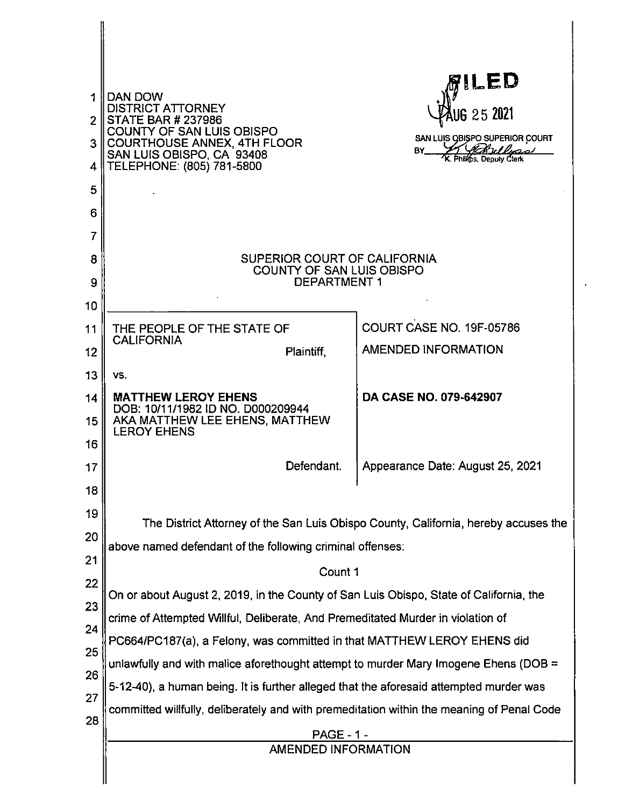| 1<br>4<br>5<br>6<br>7                        | DAN DOW<br><b>DISTRICT ATTORNEY</b><br>2 STATE BAR # 237986<br>COUNTY OF SAN LUIS OBISPO<br>COURTHOUSE ANNEX, 4TH FLOOR<br>SAN LUIS OBISPO, CA 93408<br>TELEPHONE: (805) 781-5800                                                                                                                                                                                                                                                                                                                            | <b>RILED</b><br>UG 25 2021<br>SAN LUIS OBISPO SUPERIOR COURT<br>BY Archides<br>K. Philips, Deputy Clerk |  |  |  |
|----------------------------------------------|--------------------------------------------------------------------------------------------------------------------------------------------------------------------------------------------------------------------------------------------------------------------------------------------------------------------------------------------------------------------------------------------------------------------------------------------------------------------------------------------------------------|---------------------------------------------------------------------------------------------------------|--|--|--|
| 8<br>9<br>10                                 | SUPERIOR COURT OF CALIFORNIA<br>COUNTY OF SAN LUIS OBISPO<br><b>DEPARTMENT 1</b>                                                                                                                                                                                                                                                                                                                                                                                                                             |                                                                                                         |  |  |  |
| 11<br>12<br>13                               | THE PEOPLE OF THE STATE OF<br><b>CALIFORNIA</b><br>Plaintiff,<br>VS.                                                                                                                                                                                                                                                                                                                                                                                                                                         | COURT CASE NO. 19F-05786<br><b>AMENDED INFORMATION</b>                                                  |  |  |  |
| 14<br>15<br>16                               | <b>MATTHEW LEROY EHENS</b><br>DOB: 10/11/1982 ID NO. D000209944<br>AKA MATTHEW LEE EHENS, MATTHEW<br><b>LEROY EHENS</b>                                                                                                                                                                                                                                                                                                                                                                                      | DA CASE NO. 079-642907                                                                                  |  |  |  |
| 17<br>18                                     | Defendant.                                                                                                                                                                                                                                                                                                                                                                                                                                                                                                   | Appearance Date: August 25, 2021                                                                        |  |  |  |
| 19<br>20<br>21<br>22<br>23<br>24<br>25<br>26 | The District Attorney of the San Luis Obispo County, California, hereby accuses the<br>above named defendant of the following criminal offenses:<br>Count 1<br>On or about August 2, 2019, in the County of San Luis Obispo, State of California, the<br>crime of Attempted Willful, Deliberate, And Premeditated Murder in violation of<br>PC664/PC187(a), a Felony, was committed in that MATTHEW LEROY EHENS did<br>unlawfully and with malice aforethought attempt to murder Mary Imogene Ehens (DOB $=$ |                                                                                                         |  |  |  |
| 27<br>28                                     | 5-12-40), a human being. It is further alleged that the aforesaid attempted murder was<br>committed willfully, deliberately and with premeditation within the meaning of Penal Code<br><b>PAGE - 1 -</b><br>AMENDED INFORMATION                                                                                                                                                                                                                                                                              |                                                                                                         |  |  |  |

 $\ddot{\phantom{0}}$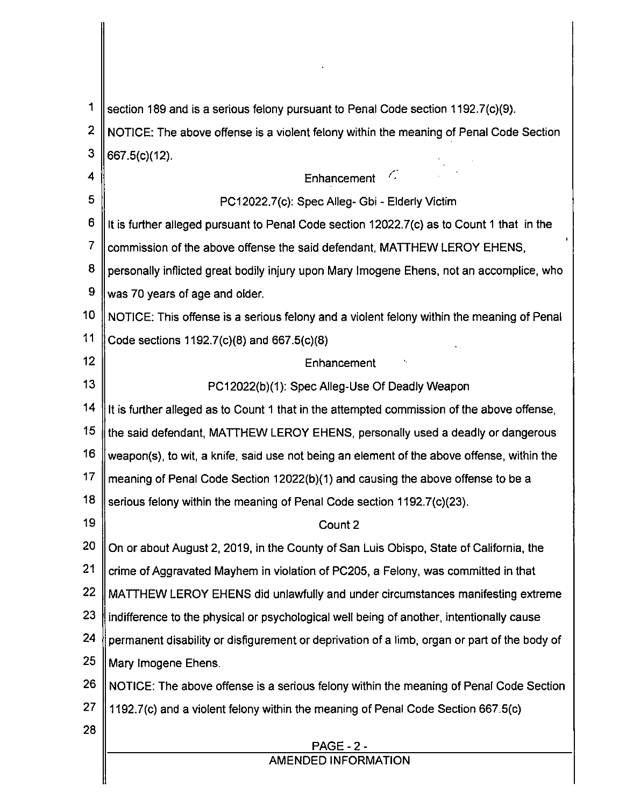| 1              | section 189 and is a serious felony pursuant to Penal Code section 1192.7(c)(9).             |
|----------------|----------------------------------------------------------------------------------------------|
| $\overline{2}$ | NOTICE: The above offense is a violent felony within the meaning of Penal Code Section       |
| 3              | 667.5(c)(12).                                                                                |
| 4              | C,<br>Enhancement                                                                            |
| 5              | PC12022.7(c): Spec Alleg- Gbi - Elderly Victim                                               |
| 6              | It is further alleged pursuant to Penal Code section 12022.7(c) as to Count 1 that in the    |
| 7              | commission of the above offense the said defendant, MATTHEW LEROY EHENS,                     |
| 8              | personally inflicted great bodily injury upon Mary Imogene Ehens, not an accomplice, who     |
| 9              | was 70 years of age and older.                                                               |
| 10             | NOTICE: This offense is a serious felony and a violent felony within the meaning of Penal    |
| 11             | Code sections 1192.7(c)(8) and 667.5(c)(8)                                                   |
| 12             | Enhancement                                                                                  |
| 13             | PC12022(b)(1): Spec Alleg-Use Of Deadly Weapon                                               |
| 14             | It is further alleged as to Count 1 that in the attempted commission of the above offense,   |
| 15             | the said defendant, MATTHEW LEROY EHENS, personally used a deadly or dangerous               |
| 16             | weapon(s), to wit, a knife, said use not being an element of the above offense, within the   |
| 17             | meaning of Penal Code Section 12022(b)(1) and causing the above offense to be a              |
| 18             | serious felony within the meaning of Penal Code section 1192.7(c)(23).                       |
| 19             | Count 2                                                                                      |
| 20             | On or about August 2, 2019, in the County of San Luis Obispo, State of California, the       |
| 21             | crime of Aggravated Mayhem in violation of PC205, a Felony, was committed in that            |
| 22             | MATTHEW LEROY EHENS did unlawfully and under circumstances manifesting extreme               |
| 23             | indifference to the physical or psychological well being of another, intentionally cause     |
| 24             | permanent disability or disfigurement or deprivation of a limb, organ or part of the body of |
| 25             | Mary Imogene Ehens.                                                                          |
| 26             | NOTICE: The above offense is a serious felony within the meaning of Penal Code Section       |
| 27             | 1192.7(c) and a violent felony within the meaning of Penal Code Section 667.5(c)             |
| 28             |                                                                                              |
|                | <b>PAGE - 2 -</b><br><b>AMENDED INFORMATION</b>                                              |
|                |                                                                                              |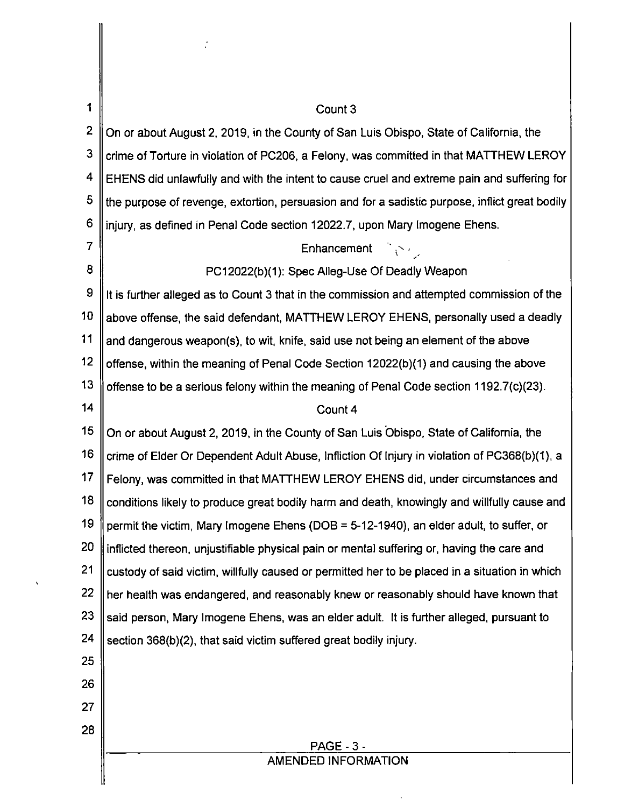| 1  | Count 3                                                                                        |  |  |
|----|------------------------------------------------------------------------------------------------|--|--|
| 2  | On or about August 2, 2019, in the County of San Luis Obispo, State of California, the         |  |  |
| 3  | crime of Torture in violation of PC206, a Felony, was committed in that MATTHEW LEROY          |  |  |
| 4  | EHENS did unlawfully and with the intent to cause cruel and extreme pain and suffering for     |  |  |
| 5  | the purpose of revenge, extortion, persuasion and for a sadistic purpose, inflict great bodily |  |  |
| 6  | injury, as defined in Penal Code section 12022.7, upon Mary Imogene Ehens.                     |  |  |
| 7  | Enhancement $\sum_{i=1}^{n}$                                                                   |  |  |
| 8  | PC12022(b)(1): Spec Alleg-Use Of Deadly Weapon                                                 |  |  |
| 9  | It is further alleged as to Count 3 that in the commission and attempted commission of the     |  |  |
| 10 | above offense, the said defendant, MATTHEW LEROY EHENS, personally used a deadly               |  |  |
| 11 | and dangerous weapon(s), to wit, knife, said use not being an element of the above             |  |  |
| 12 | offense, within the meaning of Penal Code Section 12022(b)(1) and causing the above            |  |  |
| 13 | offense to be a serious felony within the meaning of Penal Code section 1192.7(c)(23).         |  |  |
| 14 | Count 4                                                                                        |  |  |
| 15 | On or about August 2, 2019, in the County of San Luis Obispo, State of California, the         |  |  |
| 16 | crime of Elder Or Dependent Adult Abuse, Infliction Of Injury in violation of PC368(b)(1), a   |  |  |
| 17 | Felony, was committed in that MATTHEW LEROY EHENS did, under circumstances and                 |  |  |
| 18 | conditions likely to produce great bodily harm and death, knowingly and willfully cause and    |  |  |
| 19 | permit the victim, Mary Imogene Ehens (DOB = 5-12-1940), an elder adult, to suffer, or         |  |  |
| 20 | inflicted thereon, unjustifiable physical pain or mental suffering or, having the care and     |  |  |
| 21 | custody of said victim, willfully caused or permitted her to be placed in a situation in which |  |  |
| 22 | her health was endangered, and reasonably knew or reasonably should have known that            |  |  |
| 23 | said person, Mary Imogene Ehens, was an elder adult. It is further alleged, pursuant to        |  |  |
| 24 | section 368(b)(2), that said victim suffered great bodily injury.                              |  |  |
| 25 |                                                                                                |  |  |
| 26 |                                                                                                |  |  |
| 27 |                                                                                                |  |  |
| 28 | <b>PAGE - 3 -</b>                                                                              |  |  |
|    | AMENDED INFORMATION                                                                            |  |  |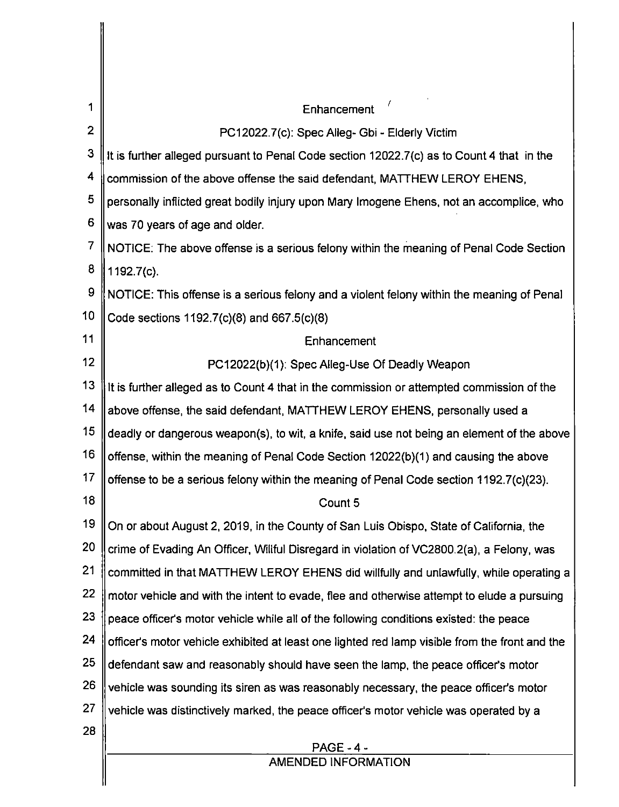| 1               | Enhancement                                                                                    |
|-----------------|------------------------------------------------------------------------------------------------|
| $\mathbf{2}$    | PC12022.7(c): Spec Alleg- Gbi - Elderly Victim                                                 |
| 3               | It is further alleged pursuant to Penal Code section 12022.7(c) as to Count 4 that in the      |
| 4               | commission of the above offense the said defendant, MATTHEW LEROY EHENS,                       |
| 5               | personally inflicted great bodily injury upon Mary Imogene Ehens, not an accomplice, who       |
| 6               | was 70 years of age and older.                                                                 |
| $\overline{7}$  | NOTICE: The above offense is a serious felony within the meaning of Penal Code Section         |
| 8               | 1192.7(c).                                                                                     |
| 9               | NOTICE: This offense is a serious felony and a violent felony within the meaning of Penal      |
| 10              | Code sections 1192.7(c)(8) and 667.5(c)(8)                                                     |
| 11              | Enhancement                                                                                    |
| 12              | PC12022(b)(1): Spec Alleg-Use Of Deadly Weapon                                                 |
| 13              | It is further alleged as to Count 4 that in the commission or attempted commission of the      |
| 14              | above offense, the said defendant, MATTHEW LEROY EHENS, personally used a                      |
| 15 <sub>1</sub> | deadly or dangerous weapon(s), to wit, a knife, said use not being an element of the above     |
| 16              | offense, within the meaning of Penal Code Section 12022(b)(1) and causing the above            |
| 17              | offense to be a serious felony within the meaning of Penal Code section 1192.7(c)(23).         |
| 18              | Count 5                                                                                        |
| 19              | On or about August 2, 2019, in the County of San Luis Obispo, State of California, the         |
| 20              | crime of Evading An Officer, Willful Disregard in violation of VC2800.2(a), a Felony, was      |
| 21              | committed in that MATTHEW LEROY EHENS did willfully and unlawfully, while operating a          |
| 22              | motor vehicle and with the intent to evade, flee and otherwise attempt to elude a pursuing     |
| 23              | peace officer's motor vehicle while all of the following conditions existed: the peace         |
| 24              | officer's motor vehicle exhibited at least one lighted red lamp visible from the front and the |
| 25              | defendant saw and reasonably should have seen the lamp, the peace officer's motor              |
| 26              | vehicle was sounding its siren as was reasonably necessary, the peace officer's motor          |
| 27              | vehicle was distinctively marked, the peace officer's motor vehicle was operated by a          |
| 28              |                                                                                                |
|                 | <b>PAGE - 4 -</b><br><b>AMENDED INFORMATION</b>                                                |
|                 |                                                                                                |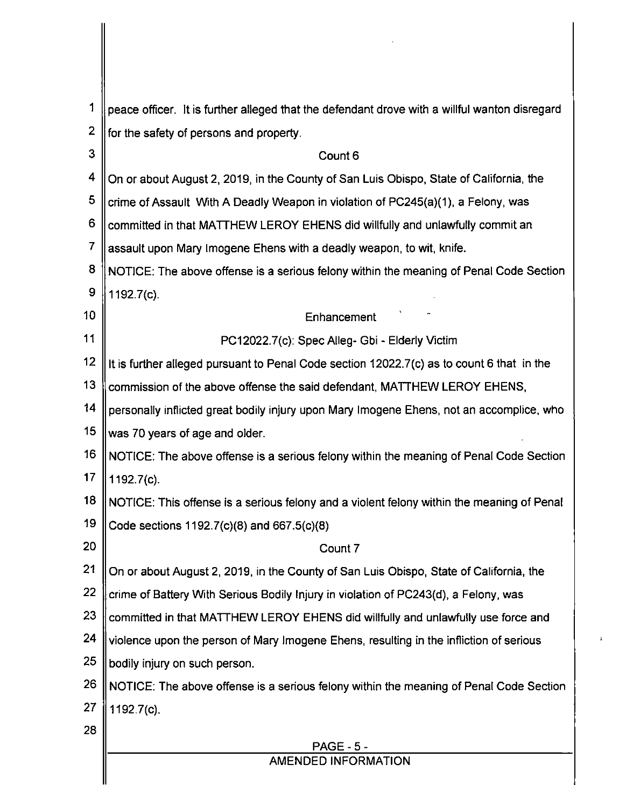| 1  | peace officer. It is further alleged that the defendant drove with a willful wanton disregard |  |  |
|----|-----------------------------------------------------------------------------------------------|--|--|
| 2  | for the safety of persons and property.                                                       |  |  |
| 3  | Count 6                                                                                       |  |  |
| 4  | On or about August 2, 2019, in the County of San Luis Obispo, State of California, the        |  |  |
| 5  | crime of Assault With A Deadly Weapon in violation of PC245(a)(1), a Felony, was              |  |  |
| 6  | committed in that MATTHEW LEROY EHENS did willfully and unlawfully commit an                  |  |  |
| 7  | assault upon Mary Imogene Ehens with a deadly weapon, to wit, knife.                          |  |  |
| 8  | NOTICE: The above offense is a serious felony within the meaning of Penal Code Section        |  |  |
| 9  | 1192.7(c).                                                                                    |  |  |
| 10 | Enhancement                                                                                   |  |  |
| 11 | PC12022.7(c): Spec Alleg- Gbi - Elderly Victim                                                |  |  |
| 12 | It is further alleged pursuant to Penal Code section 12022.7(c) as to count 6 that in the     |  |  |
| 13 | commission of the above offense the said defendant, MATTHEW LEROY EHENS,                      |  |  |
| 14 | personally inflicted great bodily injury upon Mary Imogene Ehens, not an accomplice, who      |  |  |
| 15 | was 70 years of age and older.                                                                |  |  |
| 16 | NOTICE: The above offense is a serious felony within the meaning of Penal Code Section        |  |  |
| 17 | 1192.7(c).                                                                                    |  |  |
| 18 | NOTICE: This offense is a serious felony and a violent felony within the meaning of Penal     |  |  |
| 19 | Code sections 1192.7(c)(8) and 667.5(c)(8)                                                    |  |  |
| 20 | Count 7                                                                                       |  |  |
| 21 | On or about August 2, 2019, in the County of San Luis Obispo, State of California, the        |  |  |
| 22 | crime of Battery With Serious Bodily Injury in violation of PC243(d), a Felony, was           |  |  |
| 23 | committed in that MATTHEW LEROY EHENS did willfully and unlawfully use force and              |  |  |
| 24 | violence upon the person of Mary Imogene Ehens, resulting in the infliction of serious        |  |  |
| 25 | bodily injury on such person.                                                                 |  |  |
| 26 | NOTICE: The above offense is a serious felony within the meaning of Penal Code Section        |  |  |
| 27 | 1192.7(c).                                                                                    |  |  |
| 28 |                                                                                               |  |  |
|    | <b>PAGE - 5 -</b><br>AMENDED INFORMATION                                                      |  |  |
|    |                                                                                               |  |  |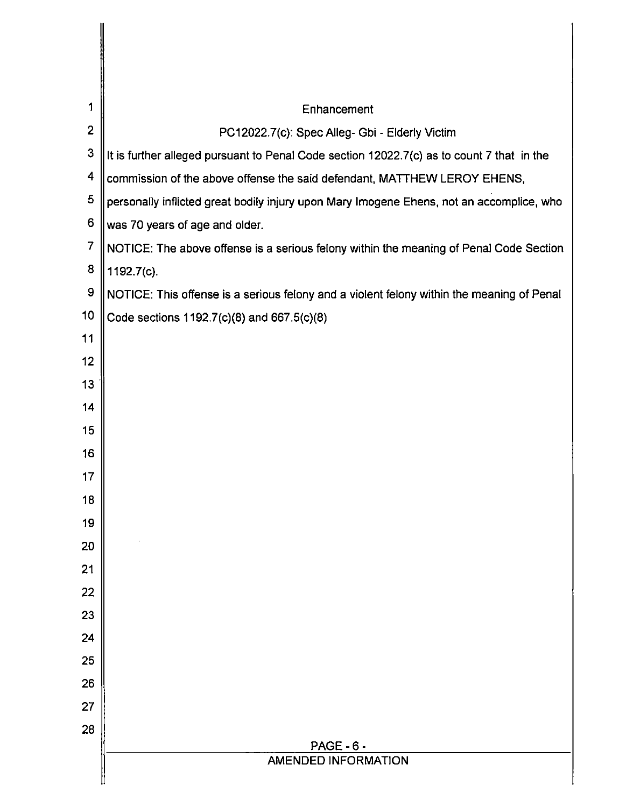| 1              | Enhancement                                                                               |
|----------------|-------------------------------------------------------------------------------------------|
| $\overline{2}$ | PC12022.7(c): Spec Alleg- Gbi - Elderly Victim                                            |
| $\mathbf{3}$   | It is further alleged pursuant to Penal Code section 12022.7(c) as to count 7 that in the |
| 4              | commission of the above offense the said defendant, MATTHEW LEROY EHENS,                  |
| 5              | personally inflicted great bodily injury upon Mary Imogene Ehens, not an accomplice, who  |
| 6              | was 70 years of age and older.                                                            |
| $\overline{7}$ | NOTICE: The above offense is a serious felony within the meaning of Penal Code Section    |
| 8              | 1192.7(c).                                                                                |
| 9              | NOTICE: This offense is a serious felony and a violent felony within the meaning of Penal |
| 10             | Code sections 1192.7(c)(8) and 667.5(c)(8)                                                |
| 11             |                                                                                           |
| 12             |                                                                                           |
| 13             |                                                                                           |
| 14             |                                                                                           |
| 15             |                                                                                           |
| 16             |                                                                                           |
| 17             |                                                                                           |
| 18             |                                                                                           |
| 19             |                                                                                           |
| 20             |                                                                                           |
| 21             |                                                                                           |
| 22             |                                                                                           |
| 23             |                                                                                           |
| 24             |                                                                                           |
| 25             |                                                                                           |
| 26             |                                                                                           |
| 27             |                                                                                           |
| 28             |                                                                                           |
|                | <b>PAGE - 6 -</b><br><b>AMENDED INFORMATION</b>                                           |
|                |                                                                                           |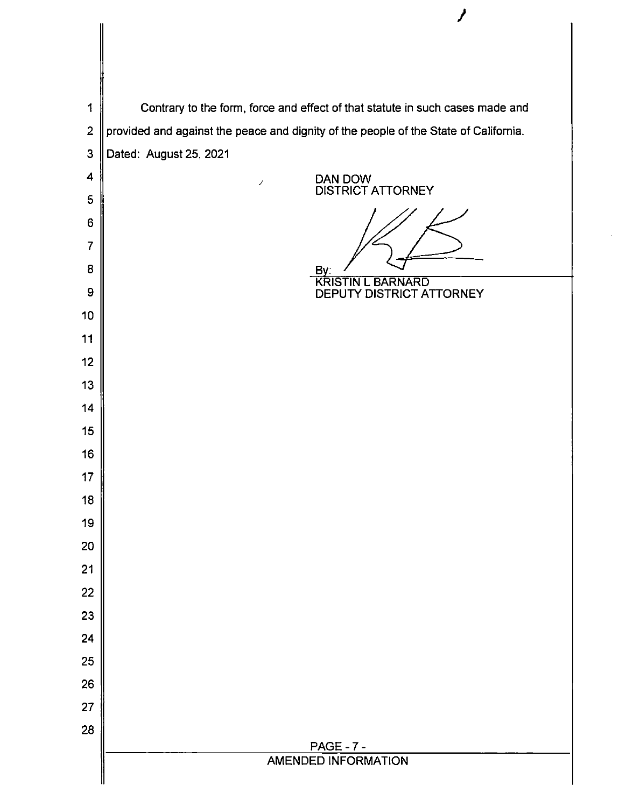|                | ,                                                                                    |
|----------------|--------------------------------------------------------------------------------------|
|                |                                                                                      |
|                |                                                                                      |
| 1              | Contrary to the form, force and effect of that statute in such cases made and        |
| $\overline{2}$ | provided and against the peace and dignity of the people of the State of California. |
| 3              | Dated: August 25, 2021                                                               |
| 4              | DAN DOW<br>J.                                                                        |
| 5              | <b>DISTRICT ATTORNEY</b>                                                             |
| 6              |                                                                                      |
| 7              |                                                                                      |
| 8              | By:<br><b>KRISTIN L BARNARD</b>                                                      |
| 9              | DEPUTY DISTRICT ATTORNEY                                                             |
| 10             |                                                                                      |
| 11             |                                                                                      |
| 12             |                                                                                      |
| 13             |                                                                                      |
| 14<br>15       |                                                                                      |
| 16             |                                                                                      |
| 17             |                                                                                      |
| 18             |                                                                                      |
| 19             |                                                                                      |
| 20             |                                                                                      |
| 21             |                                                                                      |
| 22             |                                                                                      |
| 23             |                                                                                      |
| 24             |                                                                                      |
| 25             |                                                                                      |
| 26             |                                                                                      |
| 27             |                                                                                      |
| 28             | <b>PAGE - 7 -</b>                                                                    |
|                | <b>AMENDED INFORMATION</b>                                                           |
|                |                                                                                      |

 $\boldsymbol{\prime}$ 

 $\hat{\boldsymbol{\gamma}}$